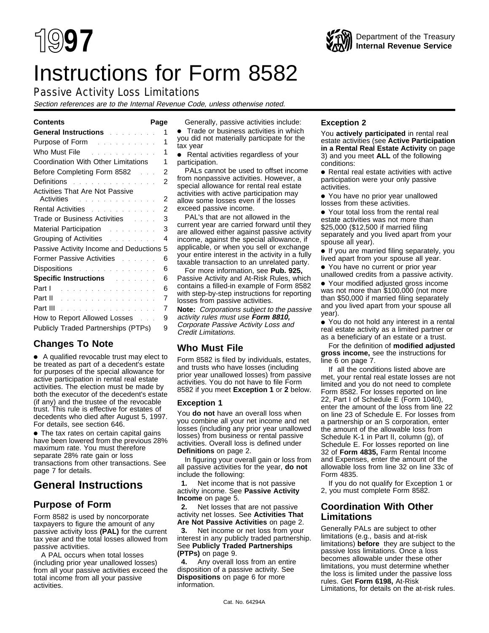# Instructions for Form 8582

# Passive Activity Loss Limitations

Section references are to the Internal Revenue Code, unless otherwise noted.

| General Instructions and a series of                                                                           | 1              |
|----------------------------------------------------------------------------------------------------------------|----------------|
| <b>Purpose of Form East Contract Purpose of Form</b>                                                           | 1              |
| Who Must File <b>Contract Contract Property</b>                                                                | 1              |
| Coordination With Other Limitations                                                                            | 1              |
| Before Completing Form 8582<br>$\mathbb{R}^n$                                                                  | 2              |
| Definitions and a contract the contract of                                                                     | 2              |
| <b>Activities That Are Not Passive</b><br>Activities and a series and a series of the Activities               | $\overline{2}$ |
| Rental Activities <b>Activities Activities Activities</b>                                                      | $\overline{2}$ |
|                                                                                                                | 3              |
| Trade or Business Activities Fig. 1. 1. 1.                                                                     |                |
|                                                                                                                | 3              |
| Grouping of Activities <b>Container and Strongers</b>                                                          | 4              |
| Passive Activity Income and Deductions                                                                         | 5              |
| Former Passive Activities [11] Louis Louis                                                                     | 6              |
| Dispositions and the set of the set of the set of the set of the set of the set of the set of the set of the s | 6              |
| <b>Specific Instructions Allen Specific Instructions</b>                                                       | 6              |
| Part 1                                                                                                         | 6              |
| Part II                                                                                                        | 7              |
| <b>Part III</b>                                                                                                | 7              |
| How to Report Allowed Losses                                                                                   | 9              |
| <b>Publicly Traded Partnerships (PTPs)</b>                                                                     | 9              |

# **Changes To Note**

●A A qualified revocable trust may elect to be treated as part of a decedent's estate for purposes of the special allowance for active participation in rental real estate activities. The election must be made by both the executor of the decedent's estate (if any) and the trustee of the revocable trust. This rule is effective for estates of decedents who died after August 5, 1997. For details, see section 646.

• The tax rates on certain capital gains have been lowered from the previous 28% maximum rate. You must therefore separate 28% rate gain or loss transactions from other transactions. See page 7 for details.

# **General Instructions**

# **Purpose of Form**

Form 8582 is used by noncorporate taxpayers to figure the amount of any passive activity loss **(PAL)** for the current tax year and the total losses allowed from passive activities.

A PAL occurs when total losses (including prior year unallowed losses) from all your passive activities exceed the total income from all your passive activities.

**Contents Page** Generally, passive activities include: **•** Trade or business activities in which you did not materially participate for the tax year

• Rental activities regardless of your participation.

PALs cannot be used to offset income from nonpassive activities. However, a special allowance for rental real estate activities with active participation may allow some losses even if the losses exceed passive income.

PAL's that are not allowed in the current year are carried forward until they are allowed either against passive activity income, against the special allowance, if applicable, or when you sell or exchange your entire interest in the activity in a fully taxable transaction to an unrelated party.

For more information, see **Pub. 925,** Passive Activity and At-Risk Rules, which contains a filled-in example of Form 8582 with step-by-step instructions for reporting losses from passive activities.

**Note:** Corporations subject to the passive activity rules must use **Form 8810,** Corporate Passive Activity Loss and Credit Limitations.

# **Who Must File**

Form 8582 is filed by individuals, estates, and trusts who have losses (including prior year unallowed losses) from passive activities. You do not have to file Form 8582 if you meet **Exception 1** or **2** below.

# **Exception 1**

You **do not** have an overall loss when you combine all your net income and net losses (including any prior year unallowed losses) from business or rental passive activities. Overall loss is defined under **Definitions** on page 2.

In figuring your overall gain or loss from all passive activities for the year, **do not** include the following:

 $\ddot{v}$ **1.** Net income that is not passive activity income. See **Passive Activity Income** on page 5.

 $\ddot{y}$ **2.** Net losses that are not passive activity net losses. See **Activities That Are Not Passive Activities** on page 2.

 **3.** Net income or net loss from your interest in any publicly traded partnership. See **Publicly Traded Partnerships (PTPs)** on page 9.

 $\ddot{y}$ **4.** Any overall loss from an entire disposition of a passive activity. See **Dispositions** on page 6 for more information.

# **Exception 2**

You **actively participated** in rental real estate activities (see **Active Participation in a Rental Real Estate Activity** on page 3) and you meet **ALL** of the following conditions:

• Rental real estate activities with active participation were your only passive activities.

● You have no prior year unallowed losses from these activities.

• Your total loss from the rental real estate activities was not more than \$25,000 (\$12,500 if married filing separately and you lived apart from your spouse all year).

• If you are married filing separately, you lived apart from your spouse all year.

● You have no current or prior year unallowed credits from a passive activity.

• Your modified adjusted gross income was not more than \$100,000 (not more than \$50,000 if married filing separately and you lived apart from your spouse all year).

● You do not hold any interest in a rental real estate activity as a limited partner or as a beneficiary of an estate or a trust.

For the definition of **modified adjusted gross income,** see the instructions for line 6 on page 7.

If all the conditions listed above are met, your rental real estate losses are not limited and you do not need to complete Form 8582. For losses reported on line 22, Part I of Schedule E (Form 1040), enter the amount of the loss from line 22 on line 23 of Schedule E. For losses from a partnership or an S corporation, enter the amount of the allowable loss from Schedule K-1 in Part II, column (g), of Schedule E. For losses reported on line 32 of **Form 4835,** Farm Rental Income and Expenses, enter the amount of the allowable loss from line 32 on line 33c of Form 4835.

If you do not qualify for Exception 1 or 2, you must complete Form 8582.

# **Coordination With Other Limitations**

Generally PALs are subject to other limitations (e.g., basis and at-risk limitations) **before** they are subject to the passive loss limitations. Once a loss becomes allowable under these other limitations, you must determine whether the loss is limited under the passive loss rules. Get **Form 6198,** At-Risk Limitations, for details on the at-risk rules.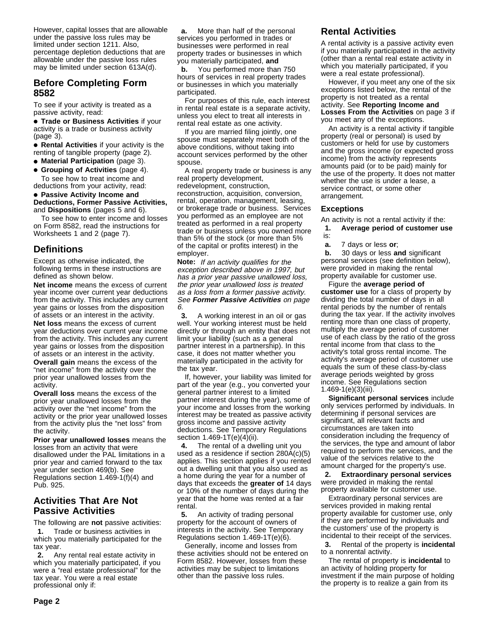However, capital losses that are allowable under the passive loss rules may be limited under section 1211. Also, percentage depletion deductions that are allowable under the passive loss rules may be limited under section 613A(d).

# **Before Completing Form 8582**

To see if your activity is treated as a passive activity, read:

**• Trade or Business Activities if your** activity is a trade or business activity (page 3).

**• Rental Activities** if your activity is the renting of tangible property (page 2).

- **Material Participation** (page 3).
- **Grouping of Activities** (page 4). To see how to treat income and deductions from your activity, read:

#### **• Passive Activity Income and Deductions, Former Passive Activities,** and **Dispositions** (pages 5 and 6).

To see how to enter income and losses on Form 8582, read the instructions for Worksheets 1 and 2 (page 7).

# **Definitions**

Except as otherwise indicated, the following terms in these instructions are defined as shown below.

**Net income** means the excess of current year income over current year deductions from the activity. This includes any current year gains or losses from the disposition of assets or an interest in the activity.

**Net loss** means the excess of current year deductions over current year income from the activity. This includes any current year gains or losses from the disposition of assets or an interest in the activity.

**Overall gain** means the excess of the "net income" from the activity over the prior year unallowed losses from the activity.

**Overall loss** means the excess of the prior year unallowed losses from the activity over the "net income" from the activity or the prior year unallowed losses from the activity plus the "net loss" from the activity.

**Prior year unallowed losses** means the losses from an activity that were disallowed under the PAL limitations in a prior year and carried forward to the tax year under section 469(b). See Regulations section 1.469-1(f)(4) and Pub. 925.

# **Activities That Are Not Passive Activities**

The following are **not** passive activities:  $\ddot{y}$ **1.** Trade or business activities in which you materially participated for the tax year.

 $\ddot{v}$ **2.** Any rental real estate activity in which you materially participated, if you were a "real estate professional" for the tax year. You were a real estate professional only if:

**ya.** More than half of the personal services you performed in trades or businesses were performed in real property trades or businesses in which you materially participated, **and**  $\ddot{\mathbf{v}}$ **b.** You performed more than 750 hours of services in real property trades or businesses in which you materially participated.

For purposes of this rule, each interest in rental real estate is a separate activity, unless you elect to treat all interests in rental real estate as one activity.

If you are married filing jointly, one spouse must separately meet both of the above conditions, without taking into account services performed by the other spouse.

A real property trade or business is any real property development, redevelopment, construction, reconstruction, acquisition, conversion, rental, operation, management, leasing, or brokerage trade or business. Services you performed as an employee are not treated as performed in a real property trade or business unless you owned more than 5% of the stock (or more than 5% of the capital or profits interest) in the employer.

**Note:** If an activity qualifies for the exception described above in 1997, but has a prior year passive unallowed loss, the prior year unallowed loss is treated as a loss from a former passive activity. See **Former Passive Activities** on page 6.

 $\ddot{y}$ 3. A working interest in an oil or gas well. Your working interest must be held directly or through an entity that does not limit your liability (such as a general partner interest in a partnership). In this case, it does not matter whether you materially participated in the activity for the tax year.

If, however, your liability was limited for part of the year (e.g., you converted your general partner interest to a limited partner interest during the year), some of your income and losses from the working interest may be treated as passive activity gross income and passive activity deductions. See Temporary Regulations section 1.469-1T(e)(4)(ii).

 $\ddot{y}$ **4.** The rental of a dwelling unit you used as a residence if section 280A(c)(5) applies. This section applies if you rented out a dwelling unit that you also used as a home during the year for a number of days that exceeds the **greater of** 14 days or 10% of the number of days during the year that the home was rented at a fair rental.

 **5.** An activity of trading personal property for the account of owners of interests in the activity. See Temporary Regulations section 1.469-1T(e)(6).

Generally, income and losses from these activities should not be entered on Form 8582. However, losses from these activities may be subject to limitations other than the passive loss rules.

# **Rental Activities**

A rental activity is a passive activity even if you materially participated in the activity (other than a rental real estate activity in which you materially participated, if you were a real estate professional).

However, if you meet any one of the six exceptions listed below, the rental of the property is not treated as a rental activity. See **Reporting Income and Losses From the Activities** on page 3 if you meet any of the exceptions.

An activity is a rental activity if tangible property (real or personal) is used by customers or held for use by customers and the gross income (or expected gross income) from the activity represents amounts paid (or to be paid) mainly for the use of the property. It does not matter whether the use is under a lease, a service contract, or some other arrangement.

#### **Exceptions**

An activity is not a rental activity if the:

 **1. Average period of customer use** is:

 $\ddot{y}$ **a.** 7 days or less **or**;

 $\ddot{v}$ **b.** 30 days or less and significant personal services (see definition below), were provided in making the rental property available for customer use.

Figure the **average period of customer use** for a class of property by dividing the total number of days in all rental periods by the number of rentals during the tax year. If the activity involves renting more than one class of property, multiply the average period of customer use of each class by the ratio of the gross rental income from that class to the activity's total gross rental income. The activity's average period of customer use equals the sum of these class-by-class average periods weighted by gross income. See Regulations section 1.469-1(e)(3)(iii).

**Significant personal services** include only services performed by individuals. In determining if personal services are significant, all relevant facts and circumstances are taken into consideration including the frequency of the services, the type and amount of labor required to perform the services, and the value of the services relative to the amount charged for the property's use.

 **2. Extraordinary personal services** were provided in making the rental property available for customer use.

Extraordinary personal services are services provided in making rental property available for customer use, only if they are performed by individuals and the customers' use of the property is incidental to their receipt of the services.  $\ddot{v}$ **3.** Rental of the property is **incidental** to a nonrental activity.

The rental of property is **incidental** to an activity of holding property for investment if the main purpose of holding the property is to realize a gain from its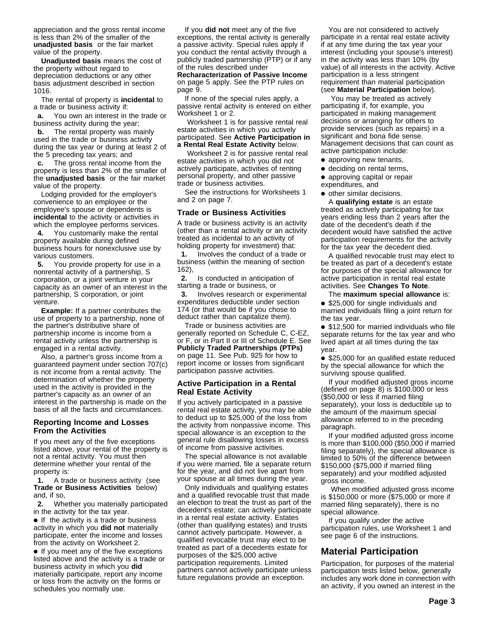appreciation and the gross rental income is less than 2% of the smaller of the **unadjusted basis** or the fair market value of the property.

**Unadjusted basis** means the cost of the property without regard to depreciation deductions or any other basis adjustment described in section 1016.

The rental of property is **incidental** to a trade or business activity if:

**ya.** You own an interest in the trade or business activity during the year;

**yb.** The rental property was mainly used in the trade or business activity during the tax year or during at least 2 of the 5 preceding tax years; and

**yc.** The gross rental income from the property is less than 2% of the smaller of the **unadjusted basis** or the fair market value of the property.

Lodging provided for the employer's convenience to an employee or the employee's spouse or dependents is **incidental** to the activity or activities in which the employee performs services.  $\ddot{y}$ **4.** You customarily make the rental property available during defined business hours for nonexclusive use by various customers.

 $\ddot{y}$ **5.** You provide property for use in a nonrental activity of a partnership, S corporation, or a joint venture in your capacity as an owner of an interest in the partnership, S corporation, or joint venture.

**Example:** If a partner contributes the use of property to a partnership, none of the partner's distributive share of partnership income is income from a rental activity unless the partnership is engaged in a rental activity.

Also, a partner's gross income from a guaranteed payment under section 707(c) is not income from a rental activity. The determination of whether the property used in the activity is provided in the partner's capacity as an owner of an interest in the partnership is made on the basis of all the facts and circumstances.

#### **Reporting Income and Losses From the Activities**

If you meet any of the five exceptions listed above, your rental of the property is not a rental activity. You must then determine whether your rental of the property is:

 **1.** A trade or business activity (see **Trade or Business Activities** below) and, if so,

 $\ddot{v}$ **2.** Whether you materially participated in the activity for the tax year.

• If the activity is a trade or business activity in which you **did not** materially participate, enter the income and losses from the activity on Worksheet 2.

• If you meet any of the five exceptions listed above and the activity is a trade or business activity in which you **did** materially participate, report any income or loss from the activity on the forms or schedules you normally use.

If you **did not** meet any of the five exceptions, the rental activity is generally a passive activity. Special rules apply if you conduct the rental activity through a publicly traded partnership (PTP) or if any of the rules described under **Recharacterization of Passive Income** on page 5 apply. See the PTP rules on

page 9. If none of the special rules apply, a passive rental activity is entered on either Worksheet 1 or 2.

 Worksheet 1 is for passive rental real estate activities in which you actively participated. See **Active Participation in a Rental Real Estate Activity** below.

 Worksheet 2 is for passive rental real estate activities in which you did not actively participate, activities of renting personal property, and other passive trade or business activities.

See the instructions for Worksheets 1 and 2 on page 7.

#### **Trade or Business Activities**

A trade or business activity is an activity (other than a rental activity or an activity treated as incidental to an activity of holding property for investment) that:

 **1.** Involves the conduct of a trade or business (within the meaning of section 162),

 $\ddot{v}$ **2.** Is conducted in anticipation of starting a trade or business, or  $\ddot{y}$ 3. Involves research or experimental expenditures deductible under section 174 (or that would be if you chose to deduct rather than capitalize them).

Trade or business activities are generally reported on Schedule C, C-EZ, or F, or in Part II or III of Schedule E. See **Publicly Traded Partnerships (PTPs)** on page 11. See Pub. 925 for how to report income or losses from significant participation passive activities.

#### **Active Participation in a Rental Real Estate Activity**

If you actively participated in a passive rental real estate activity, you may be able to deduct up to \$25,000 of the loss from the activity from nonpassive income. This special allowance is an exception to the general rule disallowing losses in excess of income from passive activities.

The special allowance is not available if you were married, file a separate return for the year, and did not live apart from your spouse at all times during the year.

Only individuals and qualifying estates and a qualified revocable trust that made an election to treat the trust as part of the decedent's estate; can actively participate in a rental real estate activity. Estates (other than qualifying estates) and trusts cannot actively participate. However, a qualified revocable trust may elect to be treated as part of a decedents estate for purposes of the \$25,000 active participation requirements. Limited partners cannot actively participate unless future regulations provide an exception.

You are not considered to actively participate in a rental real estate activity if at any time during the tax year your interest (including your spouse's interest) in the activity was less than 10% (by value) of all interests in the activity. Active participation is a less stringent requirement than material participation (see **Material Participation** below).

 You may be treated as actively participating if, for example, you participated in making management decisions or arranging for others to provide services (such as repairs) in a significant and bona fide sense. Management decisions that can count as active participation include:

- approving new tenants,
- deciding on rental terms,
- approving capital or repair expenditures, and
- other similar decisions.

A **qualifying estate** is an estate treated as actively participating for tax years ending less than 2 years after the date of the decedent's death if the decedent would have satisfied the active participation requirements for the activity for the tax year the decedent died.

A qualified revocable trust may elect to be treated as part of a decedent's estate for purposes of the special allowance for active participation in rental real estate activities. See **Changes To Note**.

The **maximum special allowance** is: • \$25,000 for single individuals and married individuals filing a joint return for the tax year.

• \$12,500 for married individuals who file separate returns for the tax year and who lived apart at all times during the tax year.

• \$25,000 for an qualified estate reduced by the special allowance for which the surviving spouse qualified.

If your modified adjusted gross income (defined on page 8) is \$100,000 or less (\$50,000 or less if married filing separately), your loss is deductible up to the amount of the maximum special allowance referred to in the preceding paragraph.

If your modified adjusted gross income is more than \$100,000 (\$50,000 if married filing separately), the special allowance is limited to 50% of the difference between \$150,000 (\$75,000 if married filing separately) and your modified adjusted gross income.

 When modified adjusted gross income is \$150,000 or more (\$75,000 or more if married filing separately), there is no special allowance.

If you qualify under the active participation rules, use Worksheet 1 and see page 6 of the instructions.

# **Material Participation**

Participation, for purposes of the material participation tests listed below, generally includes any work done in connection with an activity, if you owned an interest in the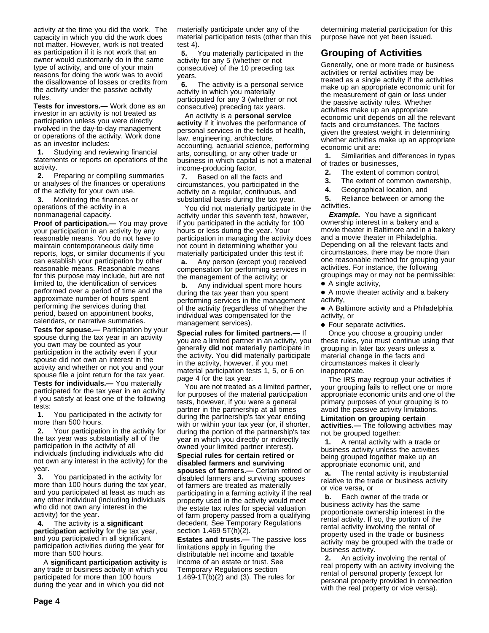activity at the time you did the work. The capacity in which you did the work does not matter. However, work is not treated as participation if it is not work that an owner would customarily do in the same type of activity, and one of your main reasons for doing the work was to avoid the disallowance of losses or credits from the activity under the passive activity rules.

**Tests for investors.—** Work done as an investor in an activity is not treated as participation unless you were directly involved in the day-to-day management or operations of the activity. Work done as an investor includes:

 $\ddot{y}$ **1.** Studying and reviewing financial statements or reports on operations of the activity.

 $\ddot{y}$ **2.** Preparing or compiling summaries or analyses of the finances or operations of the activity for your own use.

 **3.** Monitoring the finances or operations of the activity in a nonmanagerial capacity.

**Proof of participation.—** You may prove your participation in an activity by any reasonable means. You do not have to maintain contemporaneous daily time reports, logs, or similar documents if you can establish your participation by other reasonable means. Reasonable means for this purpose may include, but are not limited to, the identification of services performed over a period of time and the approximate number of hours spent performing the services during that period, based on appointment books, calendars, or narrative summaries.

**Tests for spouse.—** Participation by your spouse during the tax year in an activity you own may be counted as your participation in the activity even if your spouse did not own an interest in the activity and whether or not you and your spouse file a joint return for the tax year.

**Tests for individuals.—** You materially participated for the tax year in an activity if you satisfy at least one of the following tests:

**y1.** You participated in the activity for more than 500 hours.

 **2.** Your participation in the activity for the tax year was substantially all of the participation in the activity of all individuals (including individuals who did not own any interest in the activity) for the year.

 **3.** You participated in the activity for more than 100 hours during the tax year, and you participated at least as much as any other individual (including individuals who did not own any interest in the activity) for the year.

 $\ddot{v}$ **4.** The activity is a **significant participation activity** for the tax year, and you participated in all significant participation activities during the year for more than 500 hours.

 A **significant participation activity** is any trade or business activity in which you participated for more than 100 hours during the year and in which you did not

materially participate under any of the material participation tests (other than this test 4).

 **5.** You materially participated in the activity for any 5 (whether or not consecutive) of the 10 preceding tax years.

 $\ddot{\mathbf{v}}$ **6.** The activity is a personal service activity in which you materially participated for any 3 (whether or not consecutive) preceding tax years.

An activity is a **personal service activity** if it involves the performance of personal services in the fields of health, law, engineering, architecture, accounting, actuarial science, performing arts, consulting, or any other trade or business in which capital is not a material income-producing factor.

 $\ddot{v}$ **7.** Based on all the facts and circumstances, you participated in the activity on a regular, continuous, and substantial basis during the tax year.

You did not materially participate in the activity under this seventh test, however, if you participated in the activity for 100 hours or less during the year. Your participation in managing the activity does not count in determining whether you materially participated under this test if:

**ya.** Any person (except you) received compensation for performing services in the management of the activity; or

**yb.** Any individual spent more hours during the tax year than you spent performing services in the management of the activity (regardless of whether the individual was compensated for the management services).

**Special rules for limited partners.—** If you are a limited partner in an activity, you generally **did not** materially participate in the activity. You **did** materially participate in the activity, however, if you met material participation tests 1, 5, or 6 on page 4 for the tax year.

You are not treated as a limited partner, for purposes of the material participation tests, however, if you were a general partner in the partnership at all times during the partnership's tax year ending with or within your tax year (or, if shorter, during the portion of the partnership's tax year in which you directly or indirectly owned your limited partner interest). **Special rules for certain retired or disabled farmers and surviving spouses of farmers.—** Certain retired or disabled farmers and surviving spouses of farmers are treated as materially participating in a farming activity if the real property used in the activity would meet the estate tax rules for special valuation of farm property passed from a qualifying decedent. See Temporary Regulations section 1.469-5T(h)(2).

**Estates and trusts.—** The passive loss limitations apply in figuring the distributable net income and taxable income of an estate or trust. See Temporary Regulations section 1.469-1T(b)(2) and (3). The rules for

determining material participation for this purpose have not yet been issued.

# **Grouping of Activities**

Generally, one or more trade or business activities or rental activities may be treated as a single activity if the activities make up an appropriate economic unit for the measurement of gain or loss under the passive activity rules. Whether activities make up an appropriate economic unit depends on all the relevant facts and circumstances. The factors given the greatest weight in determining whether activities make up an appropriate economic unit are:

 **1.** Similarities and differences in types of trades or businesses,

- $\ddot{y}$ **2.** The extent of common control,
- $\ddot{y}$ **3.** The extent of common ownership,
- $\ddot{y}$ **4.** Geographical location, and

 $\ddot{y}$ **5.** Reliance between or among the activities.

**Example.** You have a significant ownership interest in a bakery and a movie theater in Baltimore and in a bakery and a movie theater in Philadelphia. Depending on all the relevant facts and circumstances, there may be more than one reasonable method for grouping your activities. For instance, the following groupings may or may not be permissible:

● A single activity,

● A movie theater activity and a bakery activity,

●A A Baltimore activity and a Philadelphia activity, or

• Four separate activities.

Once you choose a grouping under these rules, you must continue using that grouping in later tax years unless a material change in the facts and circumstances makes it clearly inappropriate.

The IRS may regroup your activities if your grouping fails to reflect one or more appropriate economic units and one of the primary purposes of your grouping is to avoid the passive activity limitations.

**Limitation on grouping certain activities.—** The following activities may not be grouped together:

 **1.** A rental activity with a trade or business activity unless the activities being grouped together make up an appropriate economic unit, and

**ya.** The rental activity is insubstantial relative to the trade or business activity or vice versa, or

**yb.** Each owner of the trade or business activity has the same proportionate ownership interest in the rental activity. If so, the portion of the rental activity involving the rental of property used in the trade or business activity may be grouped with the trade or business activity.

 $\ddot{y}$ **2.** An activity involving the rental of real property with an activity involving the rental of personal property (except for personal property provided in connection with the real property or vice versa).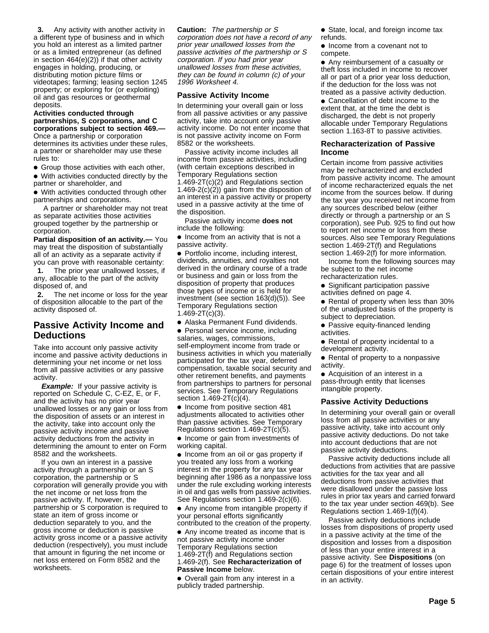**3.** Any activity with another activity in a different type of business and in which you hold an interest as a limited partner or as a limited entrepreneur (as defined in section 464(e)(2)) if that other activity engages in holding, producing, or distributing motion picture films or videotapes; farming; leasing section 1245 property; or exploring for (or exploiting) oil and gas resources or geothermal deposits.

**Activities conducted through partnerships, S corporations, and C corporations subject to section 469.—** Once a partnership or corporation determines its activities under these rules, a partner or shareholder may use these rules to:

• Group those activities with each other,

• With activities conducted directly by the partner or shareholder, and

• With activities conducted through other partnerships and corporations.

 A partner or shareholder may not treat as separate activities those activities grouped together by the partnership or corporation.

**Partial disposition of an activity.—** You may treat the disposition of substantially all of an activity as a separate activity if you can prove with reasonable certainty:  $\ddot{y}$ **1.** The prior year unallowed losses, if any, allocable to the part of the activity disposed of, and

 **2.** The net income or loss for the year of disposition allocable to the part of the activity disposed of.

# **Passive Activity Income and Deductions**

Take into account only passive activity income and passive activity deductions in determining your net income or net loss from all passive activities or any passive activity.

**Example:** If your passive activity is reported on Schedule C, C-EZ, E, or F, and the activity has no prior year unallowed losses or any gain or loss from the disposition of assets or an interest in the activity, take into account only the passive activity income and passive activity deductions from the activity in determining the amount to enter on Form 8582 and the worksheets.

If you own an interest in a passive activity through a partnership or an S corporation, the partnership or S corporation will generally provide you with the net income or net loss from the passive activity. If, however, the partnership or S corporation is required to state an item of gross income or deduction separately to you, and the gross income or deduction is passive activity gross income or a passive activity deduction (respectively), you must include that amount in figuring the net income or net loss entered on Form 8582 and the worksheets.

**Caution:** The partnership or S corporation does not have a record of any prior year unallowed losses from the passive activities of the partnership or S corporation. If you had prior year unallowed losses from these activities, they can be found in column (c) of your 1996 Worksheet 4.

#### **Passive Activity Income**

In determining your overall gain or loss from all passive activities or any passive activity, take into account only passive activity income. Do not enter income that is not passive activity income on Form 8582 or the worksheets.

Passive activity income includes all income from passive activities, including (with certain exceptions described in Temporary Regulations section 1.469-2T(c)(2) and Regulations section  $1.469-2(c)(2)$  gain from the disposition of an interest in a passive activity or property used in a passive activity at the time of the disposition.

Passive activity income **does not** include the following:

• Income from an activity that is not a passive activity.

● Portfolio income, including interest, dividends, annuities, and royalties not derived in the ordinary course of a trade or business and gain or loss from the disposition of property that produces those types of income or is held for investment (see section 163(d)(5)). See Temporary Regulations section 1.469-2T(c)(3).

• Alaska Permanent Fund dividends.

• Personal service income, including salaries, wages, commissions,

self-employment income from trade or business activities in which you materially participated for the tax year, deferred compensation, taxable social security and other retirement benefits, and payments from partnerships to partners for personal services. See Temporary Regulations section 1.469-2T(c)(4).

• Income from positive section 481 adjustments allocated to activities other than passive activities. See Temporary Regulations section 1.469-2T(c)(5).

• Income or gain from investments of working capital.

• Income from an oil or gas property if you treated any loss from a working interest in the property for any tax year beginning after 1986 as a nonpassive loss under the rule excluding working interests in oil and gas wells from passive activities. See Regulations section 1.469-2(c)(6).

• Any income from intangible property if your personal efforts significantly contributed to the creation of the property.

● Any income treated as income that is not passive activity income under Temporary Regulations section

1.469-2T(f) and Regulations section 1.469-2(f). See **Recharacterization of Passive Income** below.

• Overall gain from any interest in a publicly traded partnership.

• State, local, and foreign income tax refunds.

• Income from a covenant not to compete.

● Any reimbursement of a casualty or theft loss included in income to recover all or part of a prior year loss deduction, if the deduction for the loss was not treated as a passive activity deduction.

• Cancellation of debt income to the extent that, at the time the debt is discharged, the debt is not properly allocable under Temporary Regulations section 1.163-8T to passive activities.

#### **Recharacterization of Passive Income**

Certain income from passive activities may be recharacterized and excluded from passive activity income. The amount of income recharacterized equals the net income from the sources below. If during the tax year you received net income from any sources described below (either directly or through a partnership or an S corporation), see Pub. 925 to find out how to report net income or loss from these sources. Also see Temporary Regulations section 1.469-2T(f) and Regulations section 1.469-2(f) for more information.

Income from the following sources may be subject to the net income recharacterization rules.

Significant participation passive activities defined on page 4.

• Rental of property when less than 30% of the unadjusted basis of the property is subject to depreciation.

• Passive equity-financed lending activities.

• Rental of property incidental to a development activity.

• Rental of property to a nonpassive activity.

• Acquisition of an interest in a pass-through entity that licenses intangible property.

#### **Passive Activity Deductions**

In determining your overall gain or overall loss from all passive activities or any passive activity, take into account only passive activity deductions. Do not take into account deductions that are not passive activity deductions.

Passive activity deductions include all deductions from activities that are passive activities for the tax year and all deductions from passive activities that were disallowed under the passive loss rules in prior tax years and carried forward to the tax year under section 469(b). See Regulations section 1.469-1(f)(4).

Passive activity deductions include losses from dispositions of property used in a passive activity at the time of the disposition and losses from a disposition of less than your entire interest in a passive activity. See **Dispositions** (on page 6) for the treatment of losses upon certain dispositions of your entire interest in an activity.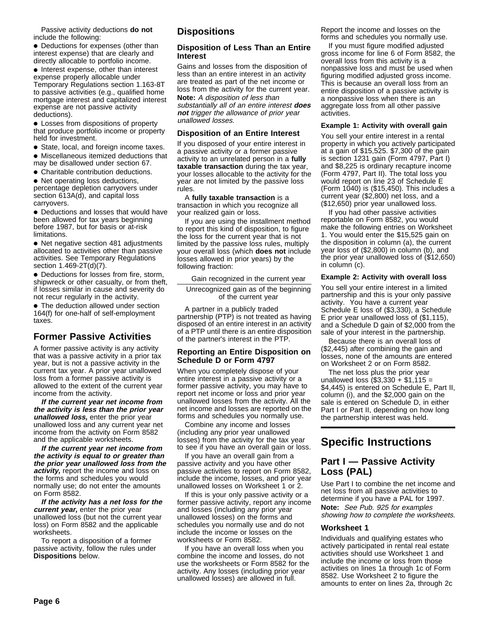Passive activity deductions **do not** include the following:

• Deductions for expenses (other than interest expense) that are clearly and directly allocable to portfolio income.

• Interest expense, other than interest expense properly allocable under Temporary Regulations section 1.163-8T to passive activities (e.g., qualified home mortgage interest and capitalized interest expense are not passive activity deductions).

• Losses from dispositions of property that produce portfolio income or property held for investment.

• State, local, and foreign income taxes.

●A Miscellaneous itemized deductions that may be disallowed under section 67.

• Charitable contribution deductions.

• Net operating loss deductions, percentage depletion carryovers under section 613A(d), and capital loss carryovers.

• Deductions and losses that would have been allowed for tax years beginning before 1987, but for basis or at-risk limitations.

• Net negative section 481 adjustments allocated to activities other than passive activities. See Temporary Regulations section 1.469-2T(d)(7).

• Deductions for losses from fire, storm, shipwreck or other casualty, or from theft, if losses similar in cause and severity do not recur regularly in the activity.

• The deduction allowed under section 164(f) for one-half of self-employment taxes.

# **Former Passive Activities**

A former passive activity is any activity that was a passive activity in a prior tax year, but is not a passive activity in the current tax year. A prior year unallowed loss from a former passive activity is allowed to the extent of the current year income from the activity.

**If the current year net income from the activity is less than the prior year unallowed loss,** enter the prior year unallowed loss and any current year net income from the activity on Form 8582 and the applicable worksheets.

**If the current year net income from the activity is equal to or greater than the prior year unallowed loss from the activity,** report the income and loss on the forms and schedules you would normally use; do not enter the amounts on Form 8582.

**If the activity has a net loss for the current year,** enter the prior year unallowed loss (but not the current year loss) on Form 8582 and the applicable worksheets.

To report a disposition of a former passive activity, follow the rules under **Dispositions** below.

# **Dispositions**

#### **Disposition of Less Than an Entire Interest**

Gains and losses from the disposition of less than an entire interest in an activity are treated as part of the net income or loss from the activity for the current year. **Note:** A disposition of less than

substantially all of an entire interest **does not** trigger the allowance of prior year unallowed losses.

# **Disposition of an Entire Interest**

If you disposed of your entire interest in a passive activity or a former passive activity to an unrelated person in a **fully taxable transaction** during the tax year, your losses allocable to the activity for the year are not limited by the passive loss rules.

A **fully taxable transaction** is a transaction in which you recognize all your realized gain or loss.

If you are using the installment method to report this kind of disposition, to figure the loss for the current year that is not limited by the passive loss rules, multiply your overall loss (which **does not** include losses allowed in prior years) by the following fraction:

Gain recognized in the current year

Unrecognized gain as of the beginning of the current year

A partner in a publicly traded partnership (PTP) is not treated as having disposed of an entire interest in an activity of a PTP until there is an entire disposition of the partner's interest in the PTP.

#### **Reporting an Entire Disposition on Schedule D or Form 4797**

When you completely dispose of your entire interest in a passive activity or a former passive activity, you may have to report net income or loss and prior year unallowed losses from the activity. All the net income and losses are reported on the forms and schedules you normally use.

Combine any income and losses (including any prior year unallowed losses) from the activity for the tax year to see if you have an overall gain or loss.

If you have an overall gain from a passive activity and you have other passive activities to report on Form 8582, include the income, losses, and prior year unallowed losses on Worksheet 1 or 2.

If this is your only passive activity or a former passive activity, report any income and losses (including any prior year unallowed losses) on the forms and schedules you normally use and do not include the income or losses on the worksheets or Form 8582.

If you have an overall loss when you combine the income and losses, do not use the worksheets or Form 8582 for the activity. Any losses (including prior year unallowed losses) are allowed in full.

Report the income and losses on the forms and schedules you normally use.

If you must figure modified adjusted gross income for line 6 of Form 8582, the overall loss from this activity is a nonpassive loss and must be used when figuring modified adjusted gross income. This is because an overall loss from an entire disposition of a passive activity is a nonpassive loss when there is an aggregate loss from all other passive activities.

# **Example 1: Activity with overall gain**

You sell your entire interest in a rental property in which you actively participated at a gain of \$15,525. \$7,300 of the gain is section 1231 gain (Form 4797, Part I) and \$8,225 is ordinary recapture income (Form 4797, Part II). The total loss you would report on line 23 of Schedule E (Form 1040) is (\$15,450). This includes a current year (\$2,800) net loss, and a (\$12,650) prior year unallowed loss.

If you had other passive activities reportable on Form 8582, you would make the following entries on Worksheet 1. You would enter the \$15,525 gain on the disposition in column (a), the current year loss of (\$2,800) in column (b), and the prior year unallowed loss of (\$12,650) in column (c).

# **Example 2: Activity with overall loss**

You sell your entire interest in a limited partnership and this is your only passive activity. You have a current year Schedule E loss of (\$3,330), a Schedule E prior year unallowed loss of (\$1,115), and a Schedule D gain of \$2,000 from the sale of your interest in the partnership.

Because there is an overall loss of (\$2,445) after combining the gain and losses, none of the amounts are entered on Worksheet 2 or on Form 8582.

The net loss plus the prior year unallowed loss  $(\$3,330 + \$1,115 =$ \$4,445) is entered on Schedule E, Part II, column (i), and the \$2,000 gain on the sale is entered on Schedule D, in either Part I or Part II, depending on how long the partnership interest was held.

# **Specific Instructions**

# **Part I — Passive Activity Loss (PAL)**

Use Part I to combine the net income and net loss from all passive activities to determine if you have a PAL for 1997. **Note:** See Pub. 925 for examples showing how to complete the worksheets.

# **Worksheet 1**

Individuals and qualifying estates who actively participated in rental real estate activities should use Worksheet 1 and include the income or loss from those activities on lines 1a through 1c of Form 8582. Use Worksheet 2 to figure the amounts to enter on lines 2a, through 2c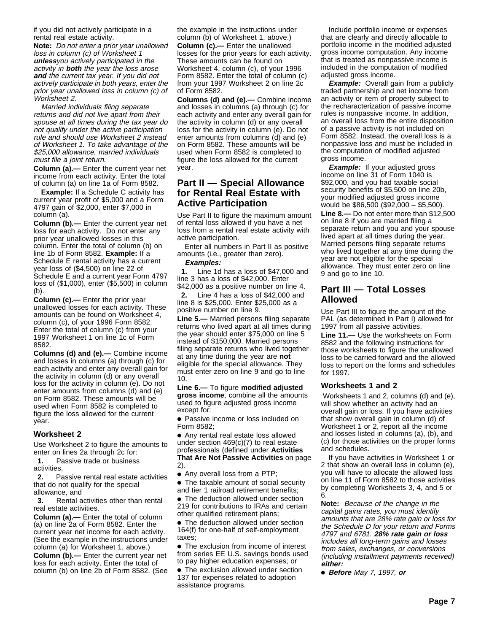if you did not actively participate in a rental real estate activity.

**Note:** Do not enter a prior year unallowed loss in column (c) of Worksheet 1 **unless**you actively participated in the activity in **both** the year the loss arose **and** the current tax year. If you did not actively participate in both years, enter the prior year unallowed loss in column (c) of Worksheet 2.

Married individuals filing separate returns and did not live apart from their spouse at all times during the tax year do not qualify under the active participation rule and should use Worksheet 2 instead of Worksheet 1. To take advantage of the \$25,000 allowance, married individuals must file a joint return.

**Column (a).—** Enter the current year net income from each activity. Enter the total of column (a) on line 1a of Form 8582.

**Example:** If a Schedule C activity has current year profit of \$5,000 and a Form 4797 gain of \$2,000, enter \$7,000 in column (a).

**Column (b).—** Enter the current year net loss for each activity. Do not enter any prior year unallowed losses in this column. Enter the total of column (b) on line 1b of Form 8582. **Example:** If a Schedule E rental activity has a current year loss of (\$4,500) on line 22 of Schedule E and a current year Form 4797 loss of (\$1,000), enter (\$5,500) in column (b).

**Column (c).—** Enter the prior year unallowed losses for each activity. These amounts can be found on Worksheet 4, column (c), of your 1996 Form 8582. Enter the total of column (c) from your 1997 Worksheet 1 on line 1c of Form 8582.

**Columns (d) and (e).—** Combine income and losses in columns (a) through (c) for each activity and enter any overall gain for the activity in column (d) or any overall loss for the activity in column (e). Do not enter amounts from columns (d) and (e) on Form 8582. These amounts will be used when Form 8582 is completed to figure the loss allowed for the current year.

#### **Worksheet 2**

Use Worksheet 2 to figure the amounts to enter on lines 2a through 2c for:

 $\ddot{y}$ **1.** Passive trade or business activities,

 **2.** Passive rental real estate activities that do not qualify for the special allowance, and

 **3.** Rental activities other than rental real estate activities.

**Column (a).—** Enter the total of column (a) on line 2a of Form 8582. Enter the current year net income for each activity. (See the example in the instructions under column (a) for Worksheet 1, above.)

**Column (b).—** Enter the current year net loss for each activity. Enter the total of column (b) on line 2b of Form 8582. (See the example in the instructions under column (b) of Worksheet 1, above.)

**Column (c).—** Enter the unallowed losses for the prior years for each activity. These amounts can be found on Worksheet 4, column (c), of your 1996 Form 8582. Enter the total of column (c) from your 1997 Worksheet 2 on line 2c of Form 8582.

**Columns (d) and (e).—** Combine income and losses in columns (a) through (c) for each activity and enter any overall gain for the activity in column (d) or any overall loss for the activity in column (e). Do not enter amounts from columns (d) and (e) on Form 8582. These amounts will be used when Form 8582 is completed to figure the loss allowed for the current year.

# **Part II — Special Allowance for Rental Real Estate with Active Participation**

Use Part II to figure the maximum amount of rental loss allowed if you have a net loss from a rental real estate activity with active participation.

Enter all numbers in Part II as positive amounts (i.e., greater than zero).

#### **Examples:**

 **1.** Line 1d has a loss of \$47,000 and line 3 has a loss of \$42,000. Enter \$42,000 as a positive number on line 4.

 **2.** Line 4 has a loss of \$42,000 and line 8 is \$25,000. Enter \$25,000 as a positive number on line 9.

**Line 5.—** Married persons filing separate returns who lived apart at all times during the year should enter \$75,000 on line 5 instead of \$150,000. Married persons filing separate returns who lived together at any time during the year are **not** eligible for the special allowance. They must enter zero on line 9 and go to line 10.

**Line 6.—** To figure **modified adjusted gross income**, combine all the amounts used to figure adjusted gross income except for:

• Passive income or loss included on Form 8582;

• Any rental real estate loss allowed under section 469(c)(7) to real estate professionals (defined under **Activities That Are Not Passive Activities** on page 2).

● Any overall loss from a PTP;

• The taxable amount of social security and tier 1 railroad retirement benefits;

• The deduction allowed under section 219 for contributions to IRAs and certain other qualified retirement plans;

**•** The deduction allowed under section 164(f) for one-half of self-employment taxes;

• The exclusion from income of interest from series EE U.S. savings bonds used to pay higher education expenses; or

• The exclusion allowed under section 137 for expenses related to adoption assistance programs.

Include portfolio income or expenses that are clearly and directly allocable to portfolio income in the modified adjusted gross income computation. Any income that is treated as nonpassive income is included in the computation of modified adjusted gross income.

**Example:** Overall gain from a publicly traded partnership and net income from an activity or item of property subject to the recharacterization of passive income rules is nonpassive income. In addition, an overall loss from the entire disposition of a passive activity is not included on Form 8582. Instead, the overall loss is a nonpassive loss and must be included in the computation of modified adjusted gross income.

**Example:** If your adjusted gross income on line 31 of Form 1040 is \$92,000, and you had taxable social security benefits of \$5,500 on line 20b, your modified adjusted gross income would be \$86,500 (\$92,000 – \$5,500). **Line 8.—** Do not enter more than \$12,500 on line 8 if you are married filing a separate return and you and your spouse lived apart at all times during the year. Married persons filing separate returns who lived together at any time during the year are not eligible for the special allowance. They must enter zero on line 9 and go to line 10.

# **Part III — Total Losses Allowed**

Use Part III to figure the amount of the PAL (as determined in Part I) allowed for 1997 from all passive activities.

**Line 11.—** Use the worksheets on Form 8582 and the following instructions for those worksheets to figure the unallowed loss to be carried forward and the allowed loss to report on the forms and schedules for 1997.

#### **Worksheets 1 and 2**

 Worksheets 1 and 2, columns (d) and (e), will show whether an activity had an overall gain or loss. If you have activities that show overall gain in column (d) of Worksheet 1 or 2, report all the income and losses listed in columns (a), (b), and (c) for those activities on the proper forms and schedules.

If you have activities in Worksheet 1 or 2 that show an overall loss in column (e), you will have to allocate the allowed loss on line 11 of Form 8582 to those activities by completing Worksheets 3, 4, and 5 or 6.

**Note:** Because of the change in the capital gains rates, you must identify amounts that are 28% rate gain or loss for the Schedule D for your return and Forms 4797 and 6781. **28% rate gain or loss** includes all long-term gains and losses from sales, exchanges, or conversions (including installment payments received) **either:**

●A **Before** May 7, 1997, **or**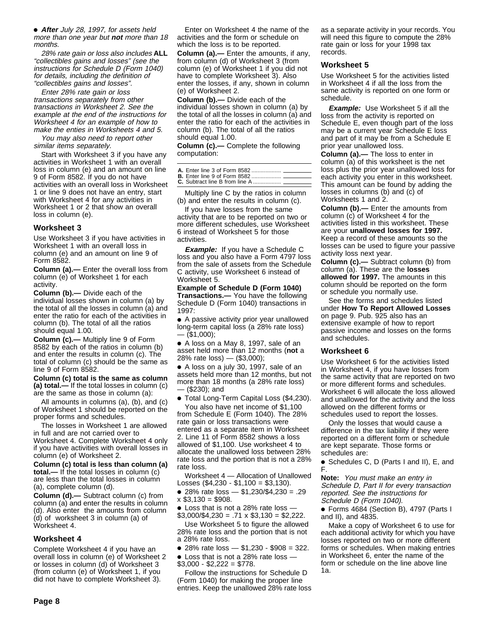●A **After** July 28, 1997, for assets held more than one year but **not** more than 18 months.

28% rate gain or loss also includes **ALL** "collectibles gains and losses" (see the instructions for Schedule D (Form 1040) for details, including the definition of "collectibles gains and losses".

Enter 28% rate gain or loss transactions separately from other transactions in Worksheet 2. See the example at the end of the instructions for Worksheet 4 for an example of how to make the enties in Worksheets 4 and 5.

You may also need to report other similar items separately.

Start with Worksheet 3 if you have any activities in Worksheet 1 with an overall loss in column (e) and an amount on line 9 of Form 8582. If you do not have activities with an overall loss in Worksheet 1 or line 9 does not have an entry, start with Worksheet 4 for any activities in Worksheet 1 or 2 that show an overall loss in column (e).

#### **Worksheet 3**

Use Worksheet 3 if you have activities in Worksheet 1 with an overall loss in column (e) and an amount on line 9 of Form 8582.

**Column (a).—** Enter the overall loss from column (e) of Worksheet 1 for each activity.

**Column (b).—** Divide each of the individual losses shown in column (a) by the total of all the losses in column (a) and enter the ratio for each of the activities in column (b). The total of all the ratios should equal 1.00.

**Column (c).—** Multiply line 9 of Form 8582 by each of the ratios in column (b) and enter the results in column (c). The total of column (c) should be the same as line 9 of Form 8582.

**Column (c) total is the same as column (a) total.—** If the total losses in column (c) are the same as those in column (a):

All amounts in columns (a), (b), and (c) of Worksheet 1 should be reported on the proper forms and schedules.

The losses in Worksheet 1 are allowed in full and are not carried over to Worksheet 4. Complete Worksheet 4 only if you have activities with overall losses in column (e) of Worksheet 2.

**Column (c) total is less than column (a) total.—** If the total losses in column (c) are less than the total losses in column (a), complete column (d).

**Column (d).—** Subtract column (c) from column (a) and enter the results in column (d). Also enter the amounts from column (d) of worksheet 3 in column (a) of Worksheet 4.

#### **Worksheet 4**

Complete Worksheet 4 if you have an overall loss in column (e) of Worksheet 2 or losses in column (d) of Worksheet 3 (from column (e) of Worksheet 1, if you did not have to complete Worksheet 3).

Enter on Worksheet 4 the name of the activities and the form or schedule on which the loss is to be reported.

**Column (a).—** Enter the amounts, if any, from column (d) of Worksheet 3 (from column (e) of Worksheet 1 if you did not have to complete Worksheet 3). Also enter the losses, if any, shown in column (e) of Worksheet 2.

**Column (b).—** Divide each of the individual losses shown in column (a) by the total of all the losses in column (a) and enter the ratio for each of the activities in column (b). The total of all the ratios should equal 1.00.

**Column (c).—** Complete the following computation:

Multiply line C by the ratios in column (b) and enter the results in column (c).

If you have losses from the same activity that are to be reported on two or more different schedules, use Worksheet 6 instead of Worksheet 5 for those activities.

**Example:** If you have a Schedule C loss and you also have a Form 4797 loss from the sale of assets from the Schedule C activity, use Worksheet 6 instead of Worksheet 5.

**Example of Schedule D (Form 1040) Transactions.—** You have the following Schedule D (Form 1040) transactions in 1997:

●A A passive activity prior year unallowed long-term capital loss (a 28% rate loss) — (\$1,000);

● A loss on a May 8, 1997, sale of an asset held more than 12 months (**not** a 28% rate loss) — (\$3,000);

● A loss on a july 30, 1997, sale of an assets held more than 12 months, but not more than 18 months (a 28% rate loss) — (\$230); and

● Total Long-Term Capital Loss (\$4,230). You also have net income of \$1,100

from Schedule E (Form 1040). The 28% rate gain or loss transactions were entered as a separate item in Worksheet 2. Line 11 of Form 8582 shows a loss allowed of \$1,100. Use worksheet 4 to allocate the unallowed loss between 28% rate loss and the portion that is not a 28% rate loss.

Worksheet 4 — Allocation of Unallowed Losses (\$4,230 - \$1,100 = \$3,130).

● 28% rate loss — \$1,230/\$4,230 = .29  $x$  \$3,130 = \$908.

• Loss that is not a 28% rate loss - $$3,000/\$4,230 = .71 \times $3,130 = $2,222$ .

Use Worksheet 5 to figure the allowed 28% rate loss and the portion that is not a 28% rate loss.

• 28% rate loss  $-$  \$1,230 - \$908 = 322.

● Loss that is not a 28% rate loss —  $$3,000 - $2,222 = $778.$ 

Follow the instructions for Schedule D (Form 1040) for making the proper line entries. Keep the unallowed 28% rate loss

as a separate activity in your records. You will need this figure to compute the 28% rate gain or loss for your 1998 tax records.

#### **Worksheet 5**

Use Worksheet 5 for the activities listed in Worksheet 4 if all the loss from the same activity is reported on one form or schedule.

**Example:** Use Worksheet 5 if all the loss from the activity is reported on Schedule E, even though part of the loss may be a current year Schedule E loss and part of it may be from a Schedule E prior year unallowed loss.

**Column (a).—** The loss to enter in column (a) of this worksheet is the net loss plus the prior year unallowed loss for each activity you enter in this worksheet. This amount can be found by adding the losses in columns (b) and (c) of Worksheets 1 and 2.

**Column (b).—** Enter the amounts from column (c) of Worksheet 4 for the activities listed in this worksheet. These are your **unallowed losses for 1997.** Keep a record of these amounts so the losses can be used to figure your passive activity loss next year.

**Column (c).—** Subtract column (b) from column (a). These are the **losses allowed for 1997.** The amounts in this column should be reported on the form or schedule you normally use.

See the forms and schedules listed under **How To Report Allowed Losses** on page 9. Pub. 925 also has an extensive example of how to report passive income and losses on the forms and schedules.

#### **Worksheet 6**

Use Worksheet 6 for the activities listed in Worksheet 4, if you have losses from the same activity that are reported on two or more different forms and schedules. Worksheet 6 will allocate the loss allowed and unallowed for the activity and the loss allowed on the different forms or schedules used to report the losses.

Only the losses that would cause a difference in the tax liability if they were reported on a different form or schedule are kept separate. Those forms or schedules are:

● Schedules C, D (Parts I and II), E, and F.

**Note:** You must make an entry in Schedule D, Part II for every transaction reported. See the instructions for Schedule D (Form 1040).

● Forms 4684 (Section B), 4797 (Parts I and II), and 4835.

Make a copy of Worksheet 6 to use for each additional activity for which you have losses reported on two or more different forms or schedules. When making entries in Worksheet 6, enter the name of the form or schedule on the line above line 1a.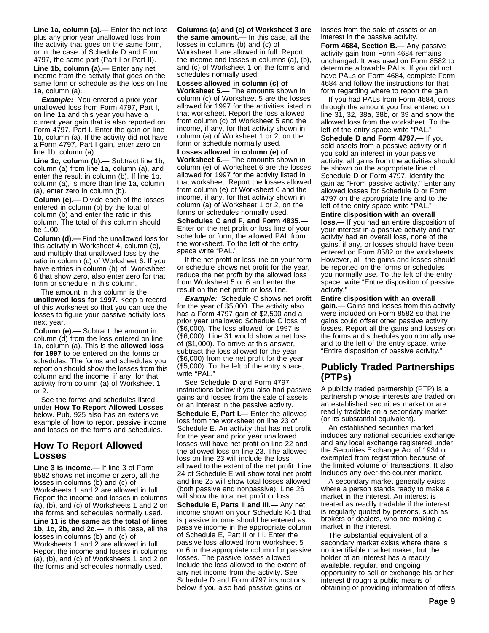**Line 1a, column (a).—** Enter the net loss plus any prior year unallowed loss from the activity that goes on the same form, or in the case of Schedule D and Form 4797, the same part (Part I or Part II). **Line 1b, column (a).—** Enter any net income from the activity that goes on the same form or schedule as the loss on line 1a, column (a).

**Example:** You entered a prior year unallowed loss from Form 4797, Part I, on line 1a and this year you have a current year gain that is also reported on Form 4797, Part I. Enter the gain on line 1b, column (a). If the activity did not have a Form 4797, Part I gain, enter zero on line 1b, column (a).

**Line 1c, column (b).—** Subtract line 1b, column (a) from line 1a, column (a), and enter the result in column (b). If line 1b, column (a), is more than line 1a, column (a), enter zero in column (b).

**Column (c).—** Divide each of the losses entered in column (b) by the total of column (b) and enter the ratio in this column. The total of this column should be 1.00.

**Column (d).—** Find the unallowed loss for this activity in Worksheet 4, column (c), and multiply that unallowed loss by the ratio in column (c) of Worksheet 6. If you have entries in column (b) of Worksheet 6 that show zero, also enter zero for that form or schedule in this column.

The amount in this column is the **unallowed loss for 1997.** Keep a record of this worksheet so that you can use the losses to figure your passive activity loss next year.

**Column (e).—** Subtract the amount in column (d) from the loss entered on line 1a, column (a). This is the **allowed loss for 1997** to be entered on the forms or schedules. The forms and schedules you report on should show the losses from this column and the income, if any, for that activity from column (a) of Worksheet 1 or 2.

See the forms and schedules listed under **How To Report Allowed Losses** below. Pub. 925 also has an extensive example of how to report passive income and losses on the forms and schedules.

# **How To Report Allowed Losses**

**Line 3 is income.—** If line 3 of Form 8582 shows net income or zero, all the losses in columns (b) and (c) of Worksheets 1 and 2 are allowed in full. Report the income and losses in columns (a), (b), and (c) of Worksheets 1 and 2 on the forms and schedules normally used. **Line 11 is the same as the total of lines 1b, 1c, 2b, and 2c.—** In this case, all the losses in columns (b) and (c) of Worksheets 1 and 2 are allowed in full. Report the income and losses in columns (a), (b), and (c) of Worksheets 1 and 2 on the forms and schedules normally used.

**Columns (a) and (c) of Worksheet 3 are the same amount.—** In this case, all the losses in columns (b) and (c) of Worksheet 1 are allowed in full. Report the income and losses in columns (a), (b), and (c) of Worksheet 1 on the forms and schedules normally used.

**Losses allowed in column (c) of Worksheet 5.—** The amounts shown in column (c) of Worksheet 5 are the losses allowed for 1997 for the activities listed in that worksheet. Report the loss allowed from column (c) of Worksheet 5 and the income, if any, for that activity shown in column (a) of Worksheet 1 or 2, on the form or schedule normally used.

**Losses allowed in column (e) of Worksheet 6.—** The amounts shown in column (e) of Worksheet 6 are the losses allowed for 1997 for the activity listed in that worksheet. Report the losses allowed from column (e) of Worksheet 6 and the income, if any, for that activity shown in column (a) of Worksheet 1 or 2, on the forms or schedules normally used.

**Schedules C and F, and Form 4835.—** Enter on the net profit or loss line of your schedule or form, the allowed PAL from the worksheet. To the left of the entry space write "PAL."

If the net profit or loss line on your form or schedule shows net profit for the year, reduce the net profit by the allowed loss from Worksheet 5 or 6 and enter the result on the net profit or loss line.

**Example:** Schedule C shows net profit for the year of \$5,000. The activity also has a Form 4797 gain of \$2,500 and a prior year unallowed Schedule C loss of (\$6,000). The loss allowed for 1997 is (\$6,000). Line 31 would show a net loss of (\$1,000). To arrive at this answer, subtract the loss allowed for the year (\$6,000) from the net profit for the year (\$5,000). To the left of the entry space, write "PAL."

See Schedule D and Form 4797 instructions below if you also had passive gains and losses from the sale of assets or an interest in the passive activity. **Schedule E, Part I.—** Enter the allowed loss from the worksheet on line 23 of Schedule E. An activity that has net profit for the year and prior year unallowed losses will have net profit on line 22 and the allowed loss on line 23. The allowed loss on line 23 will include the loss allowed to the extent of the net profit. Line 24 of Schedule E will show total net profit and line 25 will show total losses allowed (both passive and nonpassive). Line 26 will show the total net profit or loss.

**Schedule E, Parts II and III.—** Any net income shown on your Schedule K-1 that is passive income should be entered as passive income in the appropriate column of Schedule E, Part II or III. Enter the passive loss allowed from Worksheet 5 or 6 in the appropriate column for passive losses. The passive losses allowed include the loss allowed to the extent of any net income from the activity. See Schedule D and Form 4797 instructions below if you also had passive gains or

losses from the sale of assets or an interest in the passive activity.

**Form 4684, Section B.—** Any passive activity gain from Form 4684 remains unchanged. It was used on Form 8582 to determine allowable PALs. If you did not have PALs on Form 4684, complete Form 4684 and follow the instructions for that form regarding where to report the gain.

If you had PALs from Form 4684, cross through the amount you first entered on line 31, 32, 38a, 38b, or 39 and show the allowed loss from the worksheet. To the left of the entry space write "PAL.

**Schedule D and Form 4797.—** If you sold assets from a passive activity or if you sold an interest in your passive activity, all gains from the activities should be shown on the appropriate line of Schedule D or Form 4797. Identify the gain as "From passive activity." Enter any allowed losses for Schedule D or Form 4797 on the appropriate line and to the left of the entry space write "PAL.

**Entire disposition with an overall loss.—** If you had an entire disposition of your interest in a passive activity and that activity had an overall loss, none of the gains, if any, or losses should have been entered on Form 8582 or the worksheets. However, all the gains and losses should be reported on the forms or schedules you normally use. To the left of the entry space, write "Entire disposition of passive activity."

**Entire disposition with an overall gain.—** Gains and losses from this activity were included on Form 8582 so that the gains could offset other passive activity losses. Report all the gains and losses on the forms and schedules you normally use and to the left of the entry space, write "Entire disposition of passive activity."

# **Publicly Traded Partnerships (PTPs)**

A publicly traded partnership (PTP) is a partnership whose interests are traded on an established securities market or are readily tradable on a secondary market (or its substantial equivalent).

An established securities market includes any national securities exchange and any local exchange registered under the Securities Exchange Act of 1934 or exempted from registration because of the limited volume of transactions. It also includes any over-the-counter market.

A secondary market generally exists where a person stands ready to make a market in the interest. An interest is treated as readily tradable if the interest is regularly quoted by persons, such as brokers or dealers, who are making a market in the interest.

The substantial equivalent of a secondary market exists where there is no identifiable market maker, but the holder of an interest has a readily available, regular, and ongoing opportunity to sell or exchange his or her interest through a public means of obtaining or providing information of offers